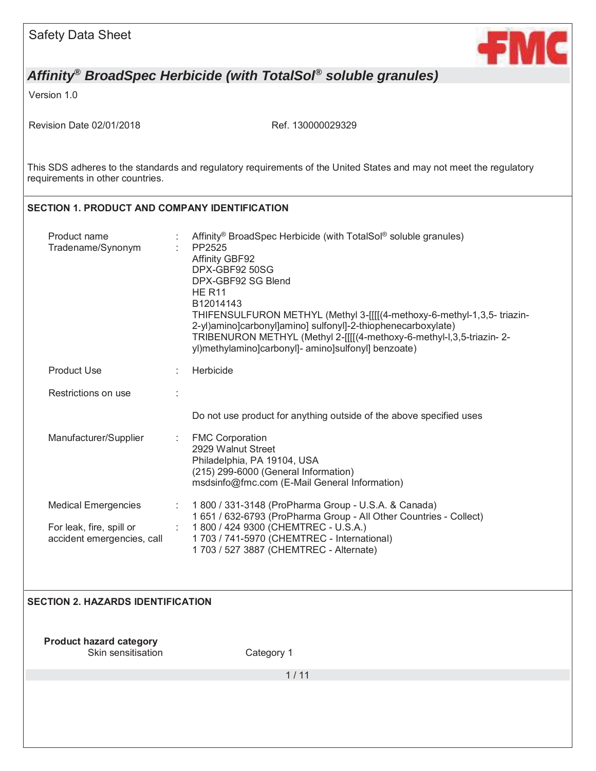

Version 1.0

Revision Date 02/01/2018 Ref. 130000029329

This SDS adheres to the standards and regulatory requirements of the United States and may not meet the regulatory requirements in other countries.

### **SECTION 1. PRODUCT AND COMPANY IDENTIFICATION**

| Product name<br>Tradename/Synonym                                                    |         | Affinity <sup>®</sup> BroadSpec Herbicide (with TotalSol <sup>®</sup> soluble granules)<br>PP2525<br><b>Affinity GBF92</b><br>DPX-GBF92 50SG<br>DPX-GBF92 SG Blend<br><b>HE R11</b><br>B12014143<br>THIFENSULFURON METHYL (Methyl 3-[[[[(4-methoxy-6-methyl-1,3,5-triazin-<br>2-yl)amino]carbonyl]amino] sulfonyl]-2-thiophenecarboxylate)<br>TRIBENURON METHYL (Methyl 2-[[[[(4-methoxy-6-methyl-l,3,5-triazin-2-<br>yl)methylamino]carbonyl]- amino]sulfonyl] benzoate) |
|--------------------------------------------------------------------------------------|---------|---------------------------------------------------------------------------------------------------------------------------------------------------------------------------------------------------------------------------------------------------------------------------------------------------------------------------------------------------------------------------------------------------------------------------------------------------------------------------|
| <b>Product Use</b>                                                                   |         | Herbicide                                                                                                                                                                                                                                                                                                                                                                                                                                                                 |
| Restrictions on use                                                                  |         |                                                                                                                                                                                                                                                                                                                                                                                                                                                                           |
|                                                                                      |         | Do not use product for anything outside of the above specified uses                                                                                                                                                                                                                                                                                                                                                                                                       |
| Manufacturer/Supplier                                                                | ÷.      | <b>FMC Corporation</b><br>2929 Walnut Street<br>Philadelphia, PA 19104, USA<br>(215) 299-6000 (General Information)<br>msdsinfo@fmc.com (E-Mail General Information)                                                                                                                                                                                                                                                                                                      |
| <b>Medical Emergencies</b><br>For leak, fire, spill or<br>accident emergencies, call | ÷.<br>÷ | 1800 / 331-3148 (ProPharma Group - U.S.A. & Canada)<br>1 651 / 632-6793 (ProPharma Group - All Other Countries - Collect)<br>1800 / 424 9300 (CHEMTREC - U.S.A.)<br>1 703 / 741-5970 (CHEMTREC - International)<br>1 703 / 527 3887 (CHEMTREC - Alternate)                                                                                                                                                                                                                |

### **SECTION 2. HAZARDS IDENTIFICATION**

**Product hazard category**  Skin sensitisation **Category 1** 

1 / 11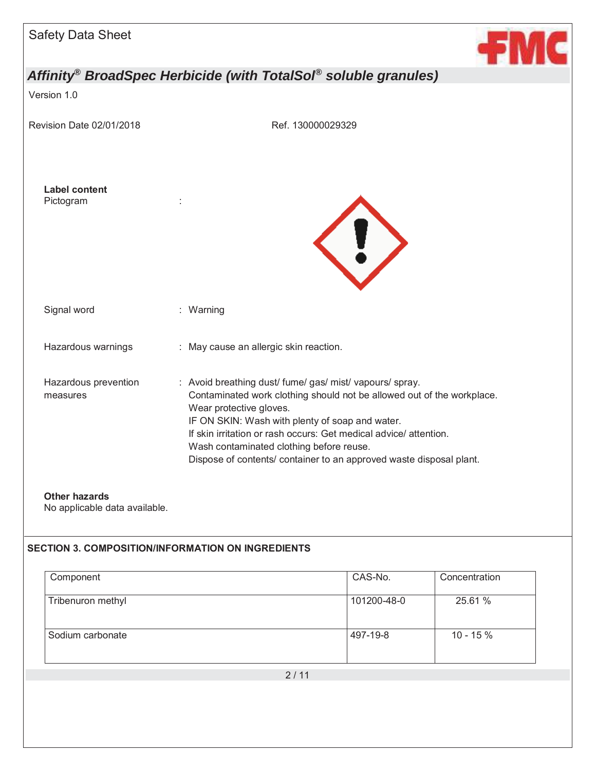

Version 1.0

Revision Date 02/01/2018 Ref. 130000029329





| Signal word |  |
|-------------|--|

| Hazardous warnings | May cause an allergic skin reaction. |
|--------------------|--------------------------------------|
|--------------------|--------------------------------------|

: Warning

Hazardous prevention measures : Avoid breathing dust/ fume/ gas/ mist/ vapours/ spray. Contaminated work clothing should not be allowed out of the workplace. Wear protective gloves. IF ON SKIN: Wash with plenty of soap and water. If skin irritation or rash occurs: Get medical advice/ attention. Wash contaminated clothing before reuse. Dispose of contents/ container to an approved waste disposal plant.

#### **Other hazards**

No applicable data available.

#### **SECTION 3. COMPOSITION/INFORMATION ON INGREDIENTS**

| Component         | CAS-No.             | Concentration |
|-------------------|---------------------|---------------|
| Tribenuron methyl | 101200-48-0         | 25.61 %       |
| Sodium carbonate  | 497-19-8            | $10 - 15%$    |
|                   | $\bigcap$ $\bigcap$ |               |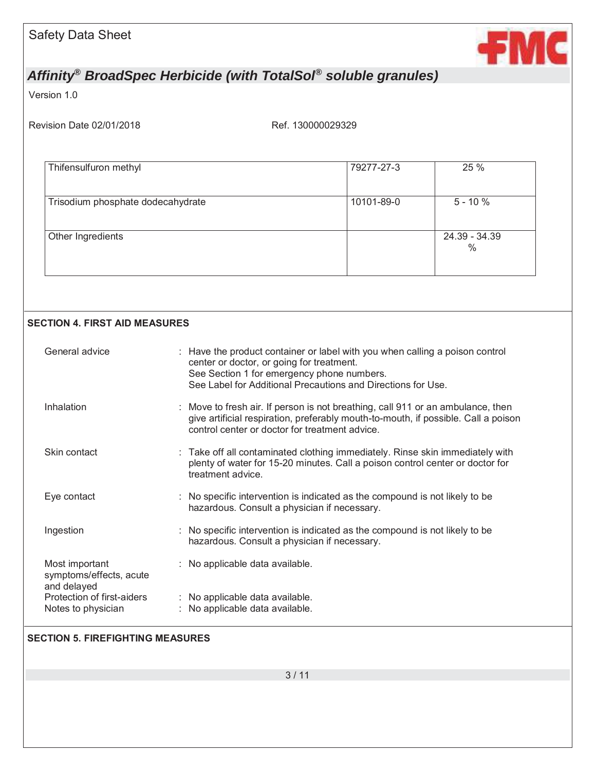

Version 1.0

Revision Date 02/01/2018 Ref. 130000029329

| 79277-27-3 | 25 %                  |
|------------|-----------------------|
| 10101-89-0 | $5 - 10%$             |
|            | 24.39 - 34.39<br>$\%$ |
|            |                       |

#### **SECTION 4. FIRST AID MEASURES**

| General advice                                           | : Have the product container or label with you when calling a poison control<br>center or doctor, or going for treatment.<br>See Section 1 for emergency phone numbers.<br>See Label for Additional Precautions and Directions for Use. |  |
|----------------------------------------------------------|-----------------------------------------------------------------------------------------------------------------------------------------------------------------------------------------------------------------------------------------|--|
| Inhalation                                               | : Move to fresh air. If person is not breathing, call 911 or an ambulance, then<br>give artificial respiration, preferably mouth-to-mouth, if possible. Call a poison<br>control center or doctor for treatment advice.                 |  |
| Skin contact                                             | : Take off all contaminated clothing immediately. Rinse skin immediately with<br>plenty of water for 15-20 minutes. Call a poison control center or doctor for<br>treatment advice.                                                     |  |
| Eye contact                                              | : No specific intervention is indicated as the compound is not likely to be<br>hazardous. Consult a physician if necessary.                                                                                                             |  |
| Ingestion                                                | : No specific intervention is indicated as the compound is not likely to be<br>hazardous. Consult a physician if necessary.                                                                                                             |  |
| Most important<br>symptoms/effects, acute<br>and delayed | : No applicable data available.                                                                                                                                                                                                         |  |
| Protection of first-aiders<br>Notes to physician         | : No applicable data available.<br>: No applicable data available.                                                                                                                                                                      |  |

#### **SECTION 5. FIREFIGHTING MEASURES**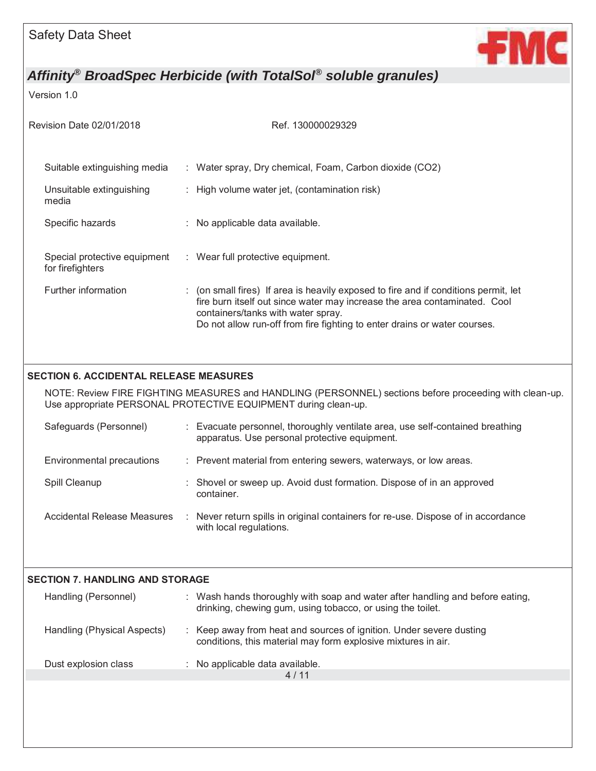

Version 1.0

| Revision Date 02/01/2018                         | Ref. 130000029329                                                                                                                                                                                                                                                                   |
|--------------------------------------------------|-------------------------------------------------------------------------------------------------------------------------------------------------------------------------------------------------------------------------------------------------------------------------------------|
| Suitable extinguishing media                     | : Water spray, Dry chemical, Foam, Carbon dioxide (CO2)                                                                                                                                                                                                                             |
| Unsuitable extinguishing<br>media                | : High volume water jet, (contamination risk)                                                                                                                                                                                                                                       |
| Specific hazards                                 | : No applicable data available.                                                                                                                                                                                                                                                     |
| Special protective equipment<br>for firefighters | : Wear full protective equipment.                                                                                                                                                                                                                                                   |
| Further information                              | : (on small fires) If area is heavily exposed to fire and if conditions permit, let<br>fire burn itself out since water may increase the area contaminated. Cool<br>containers/tanks with water spray.<br>Do not allow run-off from fire fighting to enter drains or water courses. |
| <b>SECTION 6. ACCIDENTAL RELEASE MEASURES</b>    |                                                                                                                                                                                                                                                                                     |
|                                                  | NOTE: Review FIRE FIGHTING MEASURES and HANDLING (PERSONNEL) sections before proceeding with clean-up.<br>Use appropriate PERSONAL PROTECTIVE EQUIPMENT during clean-up.                                                                                                            |
| Safeguards (Personnel)                           | : Evacuate personnel, thoroughly ventilate area, use self-contained breathing<br>apparatus. Use personal protective equipment.                                                                                                                                                      |
| Environmental precautions                        | : Prevent material from entering sewers, waterways, or low areas.                                                                                                                                                                                                                   |
| Spill Cleanup                                    | : Shovel or sweep up. Avoid dust formation. Dispose of in an approved<br>container.                                                                                                                                                                                                 |
| <b>Accidental Release Measures</b>               | Never return spills in original containers for re-use. Dispose of in accordance<br>with local regulations.                                                                                                                                                                          |
| <b>SECTION 7. HANDLING AND STORAGE</b>           |                                                                                                                                                                                                                                                                                     |
| Handling (Personnel)                             | : Wash hands thoroughly with soap and water after handling and before eating,<br>drinking, chewing gum, using tobacco, or using the toilet.                                                                                                                                         |
| Handling (Physical Aspects)                      | Keep away from heat and sources of ignition. Under severe dusting<br>conditions, this material may form explosive mixtures in air.                                                                                                                                                  |
| Dust explosion class                             | : No applicable data available.<br>4/11                                                                                                                                                                                                                                             |
|                                                  |                                                                                                                                                                                                                                                                                     |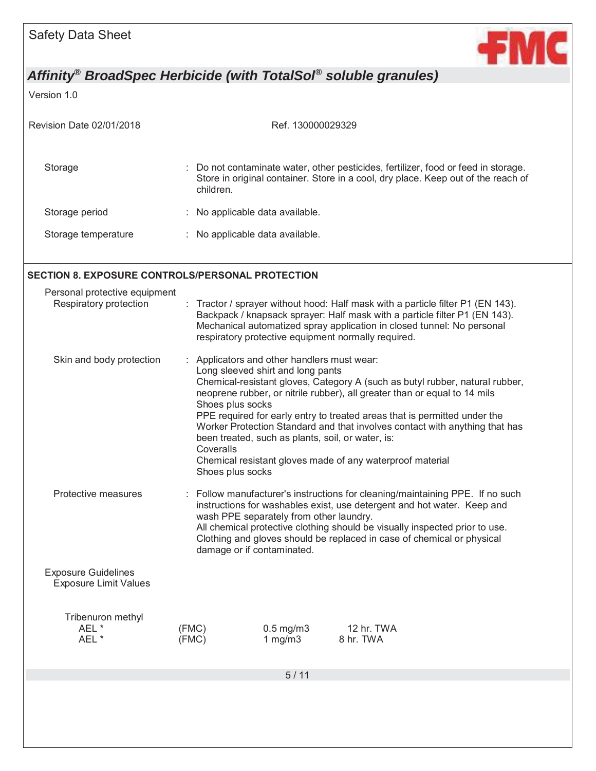

Version 1.0

| Revision Date 02/01/2018 | Ref. 130000029329                                                                                                                                                                    |
|--------------------------|--------------------------------------------------------------------------------------------------------------------------------------------------------------------------------------|
| Storage                  | : Do not contaminate water, other pesticides, fertilizer, food or feed in storage.<br>Store in original container. Store in a cool, dry place. Keep out of the reach of<br>children. |
| Storage period           | : No applicable data available.                                                                                                                                                      |
| Storage temperature      | No applicable data available.<br>÷.                                                                                                                                                  |

#### **SECTION 8. EXPOSURE CONTROLS/PERSONAL PROTECTION**

| Personal protective equipment<br>Respiratory protection    |                                                                                                                                                                                                                                                                                                                                                                                            | Tractor / sprayer without hood: Half mask with a particle filter P1 (EN 143).<br>Backpack / knapsack sprayer: Half mask with a particle filter P1 (EN 143).<br>Mechanical automatized spray application in closed tunnel: No personal<br>respiratory protective equipment normally required.                                                                                                                                                                                                                                                                                     |                              |                         |  |  |
|------------------------------------------------------------|--------------------------------------------------------------------------------------------------------------------------------------------------------------------------------------------------------------------------------------------------------------------------------------------------------------------------------------------------------------------------------------------|----------------------------------------------------------------------------------------------------------------------------------------------------------------------------------------------------------------------------------------------------------------------------------------------------------------------------------------------------------------------------------------------------------------------------------------------------------------------------------------------------------------------------------------------------------------------------------|------------------------------|-------------------------|--|--|
| Skin and body protection                                   |                                                                                                                                                                                                                                                                                                                                                                                            | : Applicators and other handlers must wear:<br>Long sleeved shirt and long pants<br>Chemical-resistant gloves, Category A (such as butyl rubber, natural rubber,<br>neoprene rubber, or nitrile rubber), all greater than or equal to 14 mils<br>Shoes plus socks<br>PPE required for early entry to treated areas that is permitted under the<br>Worker Protection Standard and that involves contact with anything that has<br>been treated, such as plants, soil, or water, is:<br>Coveralls<br>Chemical resistant gloves made of any waterproof material<br>Shoes plus socks |                              |                         |  |  |
| Protective measures                                        | : Follow manufacturer's instructions for cleaning/maintaining PPE. If no such<br>instructions for washables exist, use detergent and hot water. Keep and<br>wash PPE separately from other laundry.<br>All chemical protective clothing should be visually inspected prior to use.<br>Clothing and gloves should be replaced in case of chemical or physical<br>damage or if contaminated. |                                                                                                                                                                                                                                                                                                                                                                                                                                                                                                                                                                                  |                              |                         |  |  |
| <b>Exposure Guidelines</b><br><b>Exposure Limit Values</b> |                                                                                                                                                                                                                                                                                                                                                                                            |                                                                                                                                                                                                                                                                                                                                                                                                                                                                                                                                                                                  |                              |                         |  |  |
| Tribenuron methyl<br>AEL*<br>AEL*                          | (FMC)                                                                                                                                                                                                                                                                                                                                                                                      | (FMC)                                                                                                                                                                                                                                                                                                                                                                                                                                                                                                                                                                            | $0.5$ mg/m $3$<br>1 mg/m $3$ | 12 hr. TWA<br>8 hr. TWA |  |  |
|                                                            |                                                                                                                                                                                                                                                                                                                                                                                            |                                                                                                                                                                                                                                                                                                                                                                                                                                                                                                                                                                                  | 5/11                         |                         |  |  |
|                                                            |                                                                                                                                                                                                                                                                                                                                                                                            |                                                                                                                                                                                                                                                                                                                                                                                                                                                                                                                                                                                  |                              |                         |  |  |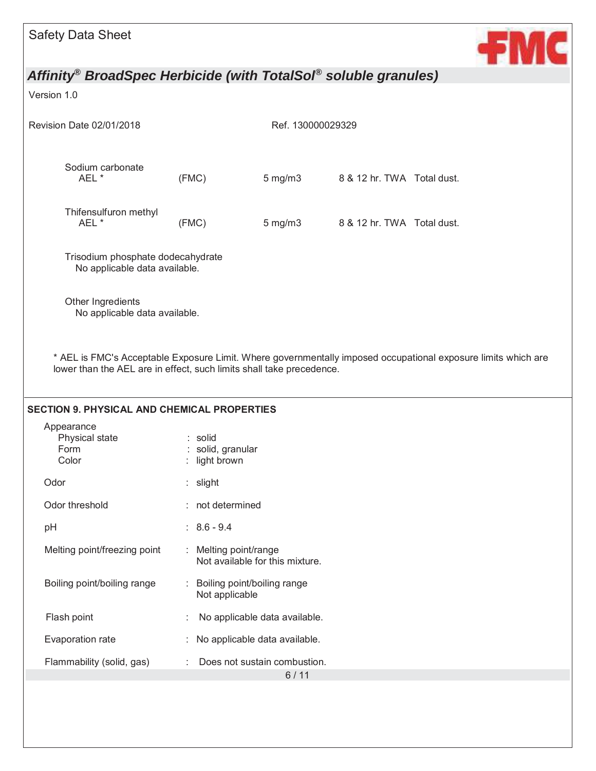

### Version 1.0

| Revision Date 02/01/2018                                                                                                                                                              | Ref. 130000029329                         |                                                        |                            |  |
|---------------------------------------------------------------------------------------------------------------------------------------------------------------------------------------|-------------------------------------------|--------------------------------------------------------|----------------------------|--|
| Sodium carbonate<br>AEL *                                                                                                                                                             | (FMC)                                     | $5$ mg/m $3$                                           | 8 & 12 hr. TWA Total dust. |  |
| Thifensulfuron methyl<br>AEL *                                                                                                                                                        | (FMC)                                     | $5$ mg/m $3$                                           | 8 & 12 hr. TWA Total dust. |  |
| Trisodium phosphate dodecahydrate<br>No applicable data available.                                                                                                                    |                                           |                                                        |                            |  |
| Other Ingredients<br>No applicable data available.                                                                                                                                    |                                           |                                                        |                            |  |
| * AEL is FMC's Acceptable Exposure Limit. Where governmentally imposed occupational exposure limits which are<br>lower than the AEL are in effect, such limits shall take precedence. |                                           |                                                        |                            |  |
| <b>SECTION 9. PHYSICAL AND CHEMICAL PROPERTIES</b>                                                                                                                                    |                                           |                                                        |                            |  |
| Appearance<br>Physical state<br>Form<br>Color                                                                                                                                         | : solid<br>solid, granular<br>light brown |                                                        |                            |  |
| Odor                                                                                                                                                                                  | : slight                                  |                                                        |                            |  |
| Odor threshold                                                                                                                                                                        |                                           | : not determined                                       |                            |  |
| pH                                                                                                                                                                                    | $: 8.6 - 9.4$                             |                                                        |                            |  |
| Melting point/freezing point                                                                                                                                                          | t.                                        | Melting point/range<br>Not available for this mixture. |                            |  |
| Boiling point/boiling range                                                                                                                                                           |                                           | Boiling point/boiling range<br>Not applicable          |                            |  |
| Flash point                                                                                                                                                                           |                                           | No applicable data available.                          |                            |  |
| Evaporation rate                                                                                                                                                                      |                                           | No applicable data available.                          |                            |  |
| Flammability (solid, gas)                                                                                                                                                             | Does not sustain combustion.              |                                                        |                            |  |
|                                                                                                                                                                                       |                                           | $6/11$                                                 |                            |  |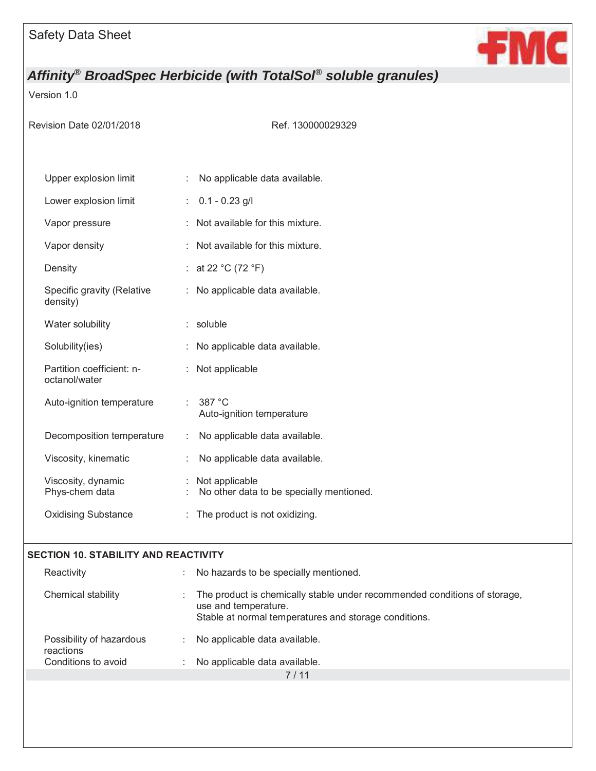

### Version 1.0

Ref. 130000029329

| Upper explosion limit                      | ÷. | No applicable data available.                              |
|--------------------------------------------|----|------------------------------------------------------------|
| Lower explosion limit                      | t. | $0.1 - 0.23$ g/l                                           |
| Vapor pressure                             |    | Not available for this mixture.                            |
| Vapor density                              |    | Not available for this mixture.                            |
| Density                                    | ÷. | at 22 °C (72 °F)                                           |
| Specific gravity (Relative<br>density)     | ÷  | No applicable data available.                              |
| Water solubility                           | t. | soluble                                                    |
| Solubility(ies)                            |    | No applicable data available.                              |
| Partition coefficient: n-<br>octanol/water |    | Not applicable                                             |
| Auto-ignition temperature                  | ÷. | 387 °C<br>Auto-ignition temperature                        |
| Decomposition temperature                  | ÷. | No applicable data available.                              |
| Viscosity, kinematic                       | ÷  | No applicable data available.                              |
| Viscosity, dynamic<br>Phys-chem data       | ÷. | Not applicable<br>No other data to be specially mentioned. |
| <b>Oxidising Substance</b>                 |    | : The product is not oxidizing.                            |

#### **SECTION 10. STABILITY AND REACTIVITY**

| Reactivity                            | No hazards to be specially mentioned.                                                                                                                      |  |
|---------------------------------------|------------------------------------------------------------------------------------------------------------------------------------------------------------|--|
| Chemical stability                    | The product is chemically stable under recommended conditions of storage,<br>use and temperature.<br>Stable at normal temperatures and storage conditions. |  |
| Possibility of hazardous<br>reactions | No applicable data available.                                                                                                                              |  |
| Conditions to avoid                   | No applicable data available.                                                                                                                              |  |
|                                       |                                                                                                                                                            |  |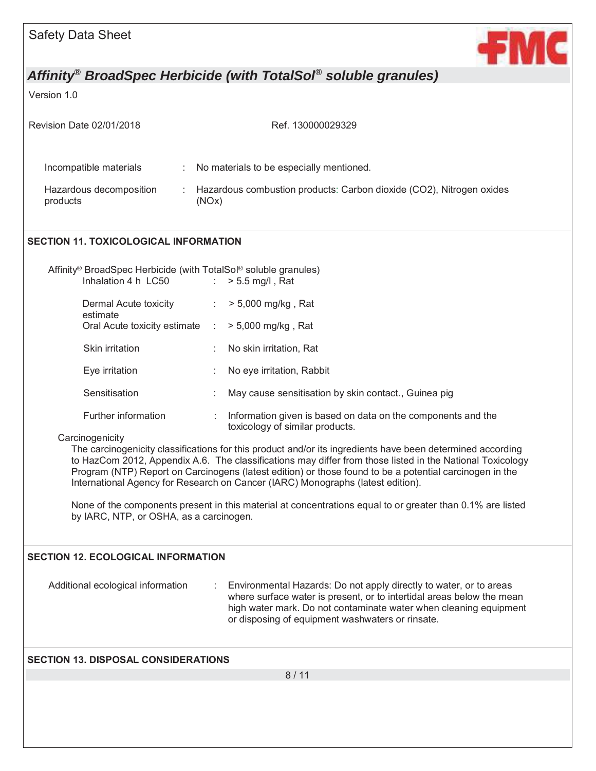

Version 1.0

| Revision Date 02/01/2018                                                                                       | Ref. 130000029329                                                                                                                                                                                                                                                                                                                                                                                                     |  |  |  |
|----------------------------------------------------------------------------------------------------------------|-----------------------------------------------------------------------------------------------------------------------------------------------------------------------------------------------------------------------------------------------------------------------------------------------------------------------------------------------------------------------------------------------------------------------|--|--|--|
| Incompatible materials<br>÷                                                                                    | No materials to be especially mentioned.                                                                                                                                                                                                                                                                                                                                                                              |  |  |  |
| Hazardous decomposition<br>products                                                                            | Hazardous combustion products: Carbon dioxide (CO2), Nitrogen oxides<br>(NOx)                                                                                                                                                                                                                                                                                                                                         |  |  |  |
| <b>SECTION 11. TOXICOLOGICAL INFORMATION</b>                                                                   |                                                                                                                                                                                                                                                                                                                                                                                                                       |  |  |  |
| Affinity <sup>®</sup> BroadSpec Herbicide (with TotalSol <sup>®</sup> soluble granules)<br>Inhalation 4 h LC50 | $> 5.5$ mg/l, Rat<br>$\mathcal{L}^{\mathcal{L}}$ .                                                                                                                                                                                                                                                                                                                                                                    |  |  |  |
| Dermal Acute toxicity                                                                                          | : $> 5,000 \text{ mg/kg}$ , Rat                                                                                                                                                                                                                                                                                                                                                                                       |  |  |  |
| estimate<br>Oral Acute toxicity estimate                                                                       | > 5,000 mg/kg, Rat<br>$\sim 100$                                                                                                                                                                                                                                                                                                                                                                                      |  |  |  |
| Skin irritation                                                                                                | No skin irritation, Rat                                                                                                                                                                                                                                                                                                                                                                                               |  |  |  |
| Eye irritation                                                                                                 | No eye irritation, Rabbit                                                                                                                                                                                                                                                                                                                                                                                             |  |  |  |
| Sensitisation                                                                                                  | May cause sensitisation by skin contact., Guinea pig                                                                                                                                                                                                                                                                                                                                                                  |  |  |  |
| Further information                                                                                            | Information given is based on data on the components and the<br>toxicology of similar products.                                                                                                                                                                                                                                                                                                                       |  |  |  |
| Carcinogenicity                                                                                                | The carcinogenicity classifications for this product and/or its ingredients have been determined according<br>to HazCom 2012, Appendix A.6. The classifications may differ from those listed in the National Toxicology<br>Program (NTP) Report on Carcinogens (latest edition) or those found to be a potential carcinogen in the<br>International Agency for Research on Cancer (IARC) Monographs (latest edition). |  |  |  |
| by IARC, NTP, or OSHA, as a carcinogen.                                                                        | None of the components present in this material at concentrations equal to or greater than 0.1% are listed                                                                                                                                                                                                                                                                                                            |  |  |  |
| <b>SECTION 12. ECOLOGICAL INFORMATION</b>                                                                      |                                                                                                                                                                                                                                                                                                                                                                                                                       |  |  |  |
| Additional ecological information                                                                              | Environmental Hazards: Do not apply directly to water, or to areas<br>where surface water is present, or to intertidal areas below the mean<br>high water mark. Do not contaminate water when cleaning equipment<br>or disposing of equipment washwaters or rinsate.                                                                                                                                                  |  |  |  |
| <b>SECTION 13. DISPOSAL CONSIDERATIONS</b>                                                                     |                                                                                                                                                                                                                                                                                                                                                                                                                       |  |  |  |
|                                                                                                                | 8/11                                                                                                                                                                                                                                                                                                                                                                                                                  |  |  |  |
|                                                                                                                |                                                                                                                                                                                                                                                                                                                                                                                                                       |  |  |  |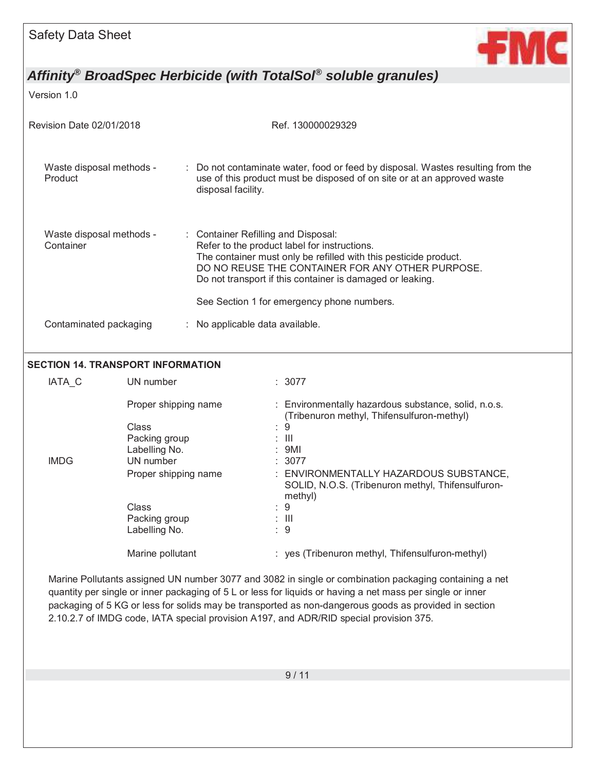

Version 1.0

| <b>Revision Date 02/01/2018</b>       | Ref. 130000029329                                                                                                                                                                                                                                                        |  |
|---------------------------------------|--------------------------------------------------------------------------------------------------------------------------------------------------------------------------------------------------------------------------------------------------------------------------|--|
| Waste disposal methods -<br>Product   | : Do not contaminate water, food or feed by disposal. Wastes resulting from the<br>use of this product must be disposed of on site or at an approved waste<br>disposal facility.                                                                                         |  |
| Waste disposal methods -<br>Container | : Container Refilling and Disposal:<br>Refer to the product label for instructions.<br>The container must only be refilled with this pesticide product.<br>DO NO REUSE THE CONTAINER FOR ANY OTHER PURPOSE.<br>Do not transport if this container is damaged or leaking. |  |
|                                       | See Section 1 for emergency phone numbers.                                                                                                                                                                                                                               |  |
| Contaminated packaging                | : No applicable data available.                                                                                                                                                                                                                                          |  |

#### **SECTION 14. TRANSPORT INFORMATION**

| <b>IATA C</b> | UN number            | : 3077                                                                                                 |
|---------------|----------------------|--------------------------------------------------------------------------------------------------------|
|               | Proper shipping name | : Environmentally hazardous substance, solid, n.o.s.<br>(Tribenuron methyl, Thifensulfuron-methyl)     |
|               | Class                | 9<br>÷.                                                                                                |
|               | Packing group        | : III                                                                                                  |
|               | Labelling No.        | : 9M1                                                                                                  |
| <b>IMDG</b>   | UN number            | : 3077                                                                                                 |
|               | Proper shipping name | : ENVIRONMENTALLY HAZARDOUS SUBSTANCE,<br>SOLID, N.O.S. (Tribenuron methyl, Thifensulfuron-<br>methyl) |
|               | Class                | : 9                                                                                                    |
|               | Packing group        | : III                                                                                                  |
|               | Labelling No.        | : 9                                                                                                    |
|               | Marine pollutant     | : yes (Tribenuron methyl, Thifensulfuron-methyl)                                                       |

Marine Pollutants assigned UN number 3077 and 3082 in single or combination packaging containing a net quantity per single or inner packaging of 5 L or less for liquids or having a net mass per single or inner packaging of 5 KG or less for solids may be transported as non-dangerous goods as provided in section 2.10.2.7 of IMDG code, IATA special provision A197, and ADR/RID special provision 375.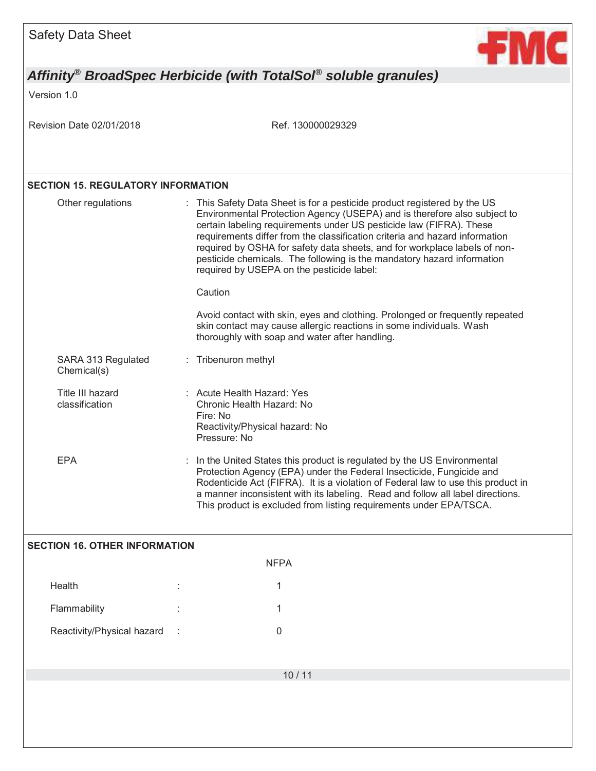

Version 1.0

Revision Date 02/01/2018 Ref. 130000029329

### **SECTION 15. REGULATORY INFORMATION**

Flammability **1** and 1

Reactivity/Physical hazard : 0

|                                      | Other regulations                  |  | : This Safety Data Sheet is for a pesticide product registered by the US<br>Environmental Protection Agency (USEPA) and is therefore also subject to<br>certain labeling requirements under US pesticide law (FIFRA). These<br>requirements differ from the classification criteria and hazard information<br>required by OSHA for safety data sheets, and for workplace labels of non-<br>pesticide chemicals. The following is the mandatory hazard information<br>required by USEPA on the pesticide label:<br>Caution |  |  |
|--------------------------------------|------------------------------------|--|---------------------------------------------------------------------------------------------------------------------------------------------------------------------------------------------------------------------------------------------------------------------------------------------------------------------------------------------------------------------------------------------------------------------------------------------------------------------------------------------------------------------------|--|--|
|                                      |                                    |  | Avoid contact with skin, eyes and clothing. Prolonged or frequently repeated<br>skin contact may cause allergic reactions in some individuals. Wash<br>thoroughly with soap and water after handling.                                                                                                                                                                                                                                                                                                                     |  |  |
|                                      | SARA 313 Regulated<br>Chemical(s)  |  | : Tribenuron methyl                                                                                                                                                                                                                                                                                                                                                                                                                                                                                                       |  |  |
|                                      | Title III hazard<br>classification |  | : Acute Health Hazard: Yes<br>Chronic Health Hazard: No<br>Fire: No<br>Reactivity/Physical hazard: No<br>Pressure: No                                                                                                                                                                                                                                                                                                                                                                                                     |  |  |
|                                      | <b>EPA</b>                         |  | In the United States this product is regulated by the US Environmental<br>Protection Agency (EPA) under the Federal Insecticide, Fungicide and<br>Rodenticide Act (FIFRA). It is a violation of Federal law to use this product in<br>a manner inconsistent with its labeling. Read and follow all label directions.<br>This product is excluded from listing requirements under EPA/TSCA.                                                                                                                                |  |  |
| <b>SECTION 16. OTHER INFORMATION</b> |                                    |  |                                                                                                                                                                                                                                                                                                                                                                                                                                                                                                                           |  |  |
| <b>NFPA</b>                          |                                    |  |                                                                                                                                                                                                                                                                                                                                                                                                                                                                                                                           |  |  |
|                                      | Health                             |  | 1                                                                                                                                                                                                                                                                                                                                                                                                                                                                                                                         |  |  |

10 / 11